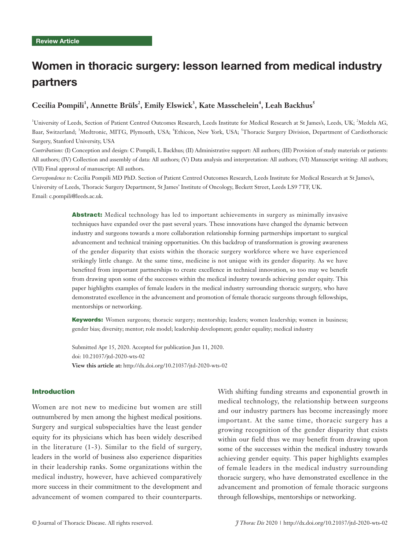# Women in thoracic surgery: lesson learned from medical industry partners

# $C$ ecilia Pompili<sup>1</sup>, Annette Brüls<sup>2</sup>, Emily Elswick<sup>3</sup>, Kate Masschelein<sup>4</sup>, Leah Backhus<sup>5</sup>

<sup>1</sup>University of Leeds, Section of Patient Centred Outcomes Research, Leeds Institute for Medical Research at St James's, Leeds, UK; <sup>2</sup>Medela AG, Baar, Switzerland; <sup>3</sup>Medtronic, MITG, Plymouth, USA; <sup>4</sup>Ethicon, New York, USA; <sup>5</sup>Thoracic Surgery Division, Department of Cardiothoracic Surgery, Stanford University, USA

*Contributions:* (I) Conception and design: C Pompili, L Backhus; (II) Administrative support: All authors; (III) Provision of study materials or patients: All authors; (IV) Collection and assembly of data: All authors; (V) Data analysis and interpretation: All authors; (VI) Manuscript writing: All authors; (VII) Final approval of manuscript: All authors.

*Correspondence to:* Cecilia Pompili MD PhD. Section of Patient Centred Outcomes Research, Leeds Institute for Medical Research at St James's, University of Leeds, Thoracic Surgery Department, St James' Institute of Oncology, Beckett Street, Leeds LS9 7TF, UK. Email: c.pompili@leeds.ac.uk.

> Abstract: Medical technology has led to important achievements in surgery as minimally invasive techniques have expanded over the past several years. These innovations have changed the dynamic between industry and surgeons towards a more collaboration relationship forming partnerships important to surgical advancement and technical training opportunities. On this backdrop of transformation is growing awareness of the gender disparity that exists within the thoracic surgery workforce where we have experienced strikingly little change. At the same time, medicine is not unique with its gender disparity. As we have benefited from important partnerships to create excellence in technical innovation, so too may we benefit from drawing upon some of the successes within the medical industry towards achieving gender equity. This paper highlights examples of female leaders in the medical industry surrounding thoracic surgery, who have demonstrated excellence in the advancement and promotion of female thoracic surgeons through fellowships, mentorships or networking.

> Keywords: Women surgeons; thoracic surgery; mentorship; leaders; women leadership; women in business; gender bias; diversity; mentor; role model; leadership development; gender equality; medical industry

Submitted Apr 15, 2020. Accepted for publication Jun 11, 2020. doi: 10.21037/jtd-2020-wts-02 **View this article at:** http://dx.doi.org/10.21037/jtd-2020-wts-02

## Introduction

Women are not new to medicine but women are still outnumbered by men among the highest medical positions. Surgery and surgical subspecialties have the least gender equity for its physicians which has been widely described in the literature (1-3). Similar to the field of surgery, leaders in the world of business also experience disparities in their leadership ranks. Some organizations within the medical industry, however, have achieved comparatively more success in their commitment to the development and advancement of women compared to their counterparts.

With shifting funding streams and exponential growth in medical technology, the relationship between surgeons and our industry partners has become increasingly more important. At the same time, thoracic surgery has a growing recognition of the gender disparity that exists within our field thus we may benefit from drawing upon some of the successes within the medical industry towards achieving gender equity. This paper highlights examples of female leaders in the medical industry surrounding thoracic surgery, who have demonstrated excellence in the advancement and promotion of female thoracic surgeons through fellowships, mentorships or networking.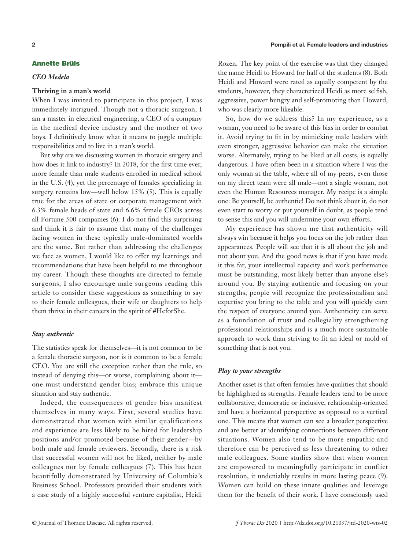# Annette Brüls

#### *CEO Medela*

#### **Thriving in a man's world**

When I was invited to participate in this project, I was immediately intrigued. Though not a thoracic surgeon, I am a master in electrical engineering, a CEO of a company in the medical device industry and the mother of two boys. I definitively know what it means to juggle multiple responsibilities and to live in a man's world.

But why are we discussing women in thoracic surgery and how does it link to industry? In 2018, for the first time ever, more female than male students enrolled in medical school in the U.S. (4), yet the percentage of females specializing in surgery remains low—well below 15% (5). This is equally true for the areas of state or corporate management with 6.3% female heads of state and 6.6% female CEOs across all Fortune 500 companies (6). I do not find this surprising and think it is fair to assume that many of the challenges facing women in these typically male-dominated worlds are the same. But rather than addressing the challenges we face as women, I would like to offer my learnings and recommendations that have been helpful to me throughout my career. Though these thoughts are directed to female surgeons, I also encourage male surgeons reading this article to consider these suggestions as something to say to their female colleagues, their wife or daughters to help them thrive in their careers in the spirit of #HeforShe.

## *Stay authentic*

The statistics speak for themselves—it is not common to be a female thoracic surgeon, nor is it common to be a female CEO. You are still the exception rather than the rule, so instead of denying this—or worse, complaining about it one must understand gender bias; embrace this unique situation and stay authentic.

Indeed, the consequences of gender bias manifest themselves in many ways. First, several studies have demonstrated that women with similar qualifications and experience are less likely to be hired for leadership positions and/or promoted because of their gender—by both male and female reviewers. Secondly, there is a risk that successful women will not be liked, neither by male colleagues nor by female colleagues (7). This has been beautifully demonstrated by University of Columbia's Business School. Professors provided their students with a case study of a highly successful venture capitalist, Heidi

Rozen. The key point of the exercise was that they changed the name Heidi to Howard for half of the students (8). Both Heidi and Howard were rated as equally competent by the students, however, they characterized Heidi as more selfish, aggressive, power hungry and self-promoting than Howard, who was clearly more likeable.

So, how do we address this? In my experience, as a woman, you need to be aware of this bias in order to combat it. Avoid trying to fit in by mimicking male leaders with even stronger, aggressive behavior can make the situation worse. Alternately, trying to be liked at all costs, is equally dangerous. I have often been in a situation where I was the only woman at the table, where all of my peers, even those on my direct team were all male—not a single woman, not even the Human Resources manager. My recipe is a simple one: Be yourself, be authentic! Do not think about it, do not even start to worry or put yourself in doubt, as people tend to sense this and you will undermine your own efforts.

My experience has shown me that authenticity will always win because it helps you focus on the job rather than appearances. People will see that it is all about the job and not about you. And the good news is that if you have made it this far, your intellectual capacity and work performance must be outstanding, most likely better than anyone else's around you. By staying authentic and focusing on your strengths, people will recognize the professionalism and expertise you bring to the table and you will quickly earn the respect of everyone around you. Authenticity can serve as a foundation of trust and collegiality strengthening professional relationships and is a much more sustainable approach to work than striving to fit an ideal or mold of something that is not you.

## *Play to your strengths*

Another asset is that often females have qualities that should be highlighted as strengths. Female leaders tend to be more collaborative, democratic or inclusive, relationship-oriented and have a horizontal perspective as opposed to a vertical one. This means that women can see a broader perspective and are better at identifying connections between different situations. Women also tend to be more empathic and therefore can be perceived as less threatening to other male colleagues. Some studies show that when women are empowered to meaningfully participate in conflict resolution, it undeniably results in more lasting peace (9). Women can build on these innate qualities and leverage them for the benefit of their work. I have consciously used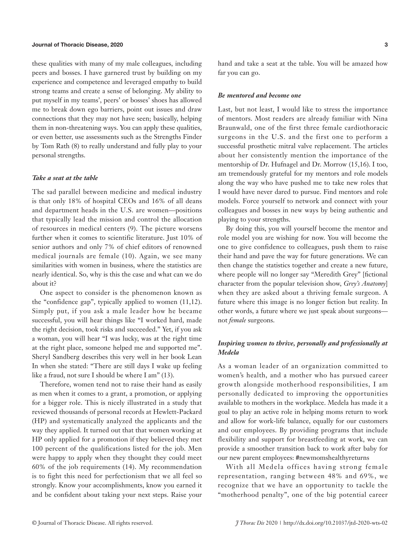#### Journal of Thoracic Disease, 2020 3

these qualities with many of my male colleagues, including peers and bosses. I have garnered trust by building on my experience and competence and leveraged empathy to build strong teams and create a sense of belonging. My ability to put myself in my teams', peers' or bosses' shoes has allowed me to break down ego barriers, point out issues and draw connections that they may not have seen; basically, helping them in non-threatening ways. You can apply these qualities, or even better, use assessments such as the Strengths Finder by Tom Rath (8) to really understand and fully play to your personal strengths.

#### *Take a seat at the table*

The sad parallel between medicine and medical industry is that only 18% of hospital CEOs and 16% of all deans and department heads in the U.S. are women—positions that typically lead the mission and control the allocation of resources in medical centers (9). The picture worsens further when it comes to scientific literature. Just 10% of senior authors and only 7% of chief editors of renowned medical journals are female (10). Again, we see many similarities with women in business, where the statistics are nearly identical. So, why is this the case and what can we do about it?

One aspect to consider is the phenomenon known as the "confidence gap", typically applied to women (11,12). Simply put, if you ask a male leader how he became successful, you will hear things like "I worked hard, made the right decision, took risks and succeeded." Yet, if you ask a woman, you will hear "I was lucky, was at the right time at the right place, someone helped me and supported me". Sheryl Sandberg describes this very well in her book Lean In when she stated: "There are still days I wake up feeling like a fraud, not sure I should be where I am" (13).

Therefore, women tend not to raise their hand as easily as men when it comes to a grant, a promotion, or applying for a bigger role. This is nicely illustrated in a study that reviewed thousands of personal records at Hewlett-Packard (HP) and systematically analyzed the applicants and the way they applied. It turned out that that women working at HP only applied for a promotion if they believed they met 100 percent of the qualifications listed for the job. Men were happy to apply when they thought they could meet 60% of the job requirements (14). My recommendation is to fight this need for perfectionism that we all feel so strongly. Know your accomplishments, know you earned it and be confident about taking your next steps. Raise your hand and take a seat at the table. You will be amazed how far you can go.

#### *Be mentored and become one*

Last, but not least, I would like to stress the importance of mentors. Most readers are already familiar with Nina Braunwald, one of the first three female cardiothoracic surgeons in the U.S. and the first one to perform a successful prosthetic mitral valve replacement. The articles about her consistently mention the importance of the mentorship of Dr. Hufnagel and Dr. Morrow (15,16). I too, am tremendously grateful for my mentors and role models along the way who have pushed me to take new roles that I would have never dared to pursue. Find mentors and role models. Force yourself to network and connect with your colleagues and bosses in new ways by being authentic and playing to your strengths.

By doing this, you will yourself become the mentor and role model you are wishing for now. You will become the one to give confidence to colleagues, push them to raise their hand and pave the way for future generations. We can then change the statistics together and create a new future, where people will no longer say "Meredith Grey" [fictional character from the popular television show, *Grey's Anatomy*] when they are asked about a thriving female surgeon. A future where this image is no longer fiction but reality. In other words, a future where we just speak about surgeons not *female* surgeons.

# *Inspiring women to thrive, personally and professionally at Medela*

As a woman leader of an organization committed to women's health, and a mother who has pursued career growth alongside motherhood responsibilities, I am personally dedicated to improving the opportunities available to mothers in the workplace. Medela has made it a goal to play an active role in helping moms return to work and allow for work-life balance, equally for our customers and our employees. By providing programs that include flexibility and support for breastfeeding at work, we can provide a smoother transition back to work after baby for our new parent employees: #newmomshealthyreturns

With all Medela offices having strong female representation, ranging between 48% and 69%, we recognize that we have an opportunity to tackle the "motherhood penalty", one of the big potential career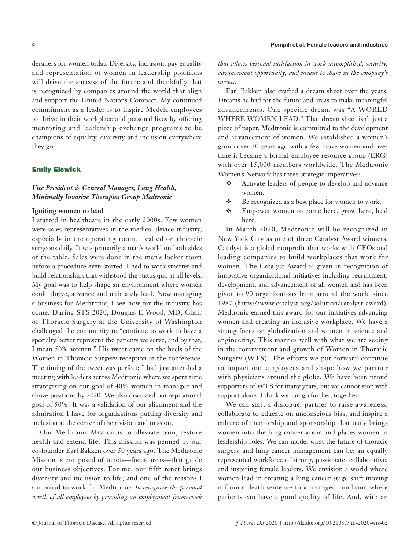derailers for women today. Diversity, inclusion, pay equality and representation of women in leadership positions will drive the success of the future and thankfully that is recognized by companies around the world that align and support the United Nations Compact. My continued commitment as a leader is to inspire Medela employees to thrive in their workplace and personal lives by offering mentoring and leadership exchange programs to be champions of equality, diversity and inclusion everywhere they go.

#### Emily Elswick

# *Vice President & General Manager, Lung Health, Minimally Invasive Therapies Group Medtronic*

## **Igniting women to lead**

I started in healthcare in the early 2000s. Few women were sales representatives in the medical device industry, especially in the operating room. I called on thoracic surgeons daily. It was primarily a man's world on both sides of the table. Sales were done in the men's locker room before a procedure even started. I had to work smarter and build relationships that withstood the status quo at all levels. My goal was to help shape an environment where women could thrive, advance and ultimately lead. Now managing a business for Medtronic, I see how far the industry has come. During STS 2020, Douglas E Wood, MD, Chair of Thoracic Surgery at the University of Washington challenged the community to "continue to work to have a specialty better represent the patients we serve, and by that, I mean 50% women." His tweet came on the heels of the Women in Thoracic Surgery reception at the conference. The timing of the tweet was perfect; I had just attended a meeting with leaders across Medtronic where we spent time strategizing on our goal of 40% women in manager and above positions by 2020. We also discussed our aspirational goal of 50%! It was a validation of our alignment and the admiration I have for organizations putting diversity and inclusion at the center of their vision and mission.

Our Medtronic Mission is to alleviate pain, restore health and extend life. This mission was penned by our co-founder Earl Bakken over 50 years ago. The Medtronic Mission is composed of tenets—focus areas—that guide our business objectives. For me, our fifth tenet brings diversity and inclusion to life; and one of the reasons I am proud to work for Medtronic: *To recognize the personal worth of all employees by providing an employment framework*  *that allows personal satisfaction in work accomplished, security, advancement opportunity, and means to share in the company's success*.

Earl Bakken also crafted a dream sheet over the years. Dreams he had for the future and areas to make meaningful advancements. One specific dream was "A WORLD WHERE WOMEN LEAD." That dream sheet isn't just a piece of paper. Medtronic is committed to the development and advancement of women. We established a women's group over 30 years ago with a few brave women and over time it became a formal employee resource group (ERG) with over 15,000 members worldwide. The Medtronic Women's Network has three strategic imperatives:

- Activate leaders of people to develop and advance women.
- Be recognized as a best place for women to work.
- **Empower women to come here, grow here, lead** here.

In March 2020, Medtronic will be recognized in New York City as one of three Catalyst Award winners. Catalyst is a global nonprofit that works with CEOs and leading companies to build workplaces that work for women. The Catalyst Award is given in recognition of innovative organizational initiatives including recruitment, development, and advancement of all women and has been given to 90 organizations from around the world since 1987 (https://www.catalyst.org/solution/catalyst-award). Medtronic earned this award for our initiatives advancing women and creating an inclusive workplace. We have a strong focus on globalization and women in science and engineering. This marries well with what we are seeing in the commitment and growth of Women in Thoracic Surgery (WTS). The efforts we put forward continue to impact our employees and shape how we partner with physicians around the globe. We have been proud supporters of WTS for many years, but we cannot stop with support alone. I think we can go further, together.

We can start a dialogue, partner to raise awareness, collaborate to educate on unconscious bias, and inspire a culture of mentorship and sponsorship that truly brings women into the lung cancer arena and places women in leadership roles. We can model what the future of thoracic surgery and lung cancer management can be; an equally represented workforce of strong, passionate, collaborative, and inspiring female leaders. We envision a world where women lead in creating a lung cancer stage shift moving it from a death sentence to a managed condition where patients can have a good quality of life. And, with an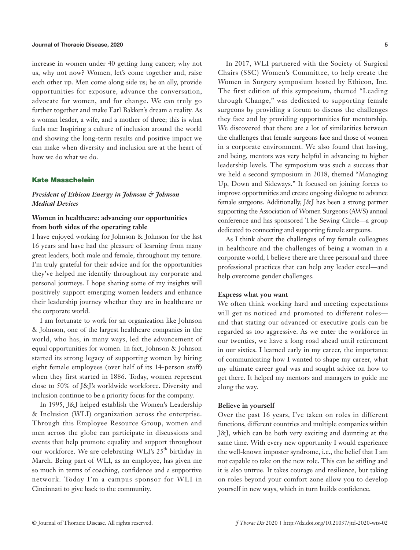#### Journal of Thoracic Disease, 2020 5

increase in women under 40 getting lung cancer; why not us, why not now? Women, let's come together and, raise each other up. Men come along side us; be an ally, provide opportunities for exposure, advance the conversation, advocate for women, and for change. We can truly go further together and make Earl Bakken's dream a reality. As a woman leader, a wife, and a mother of three; this is what fuels me: Inspiring a culture of inclusion around the world and showing the long-term results and positive impact we can make when diversity and inclusion are at the heart of how we do what we do.

## Kate Masschelein

# *President of Ethicon Energy in Johnson & Johnson Medical Devices*

# **Women in healthcare: advancing our opportunities from both sides of the operating table**

I have enjoyed working for Johnson & Johnson for the last 16 years and have had the pleasure of learning from many great leaders, both male and female, throughout my tenure. I'm truly grateful for their advice and for the opportunities they've helped me identify throughout my corporate and personal journeys. I hope sharing some of my insights will positively support emerging women leaders and enhance their leadership journey whether they are in healthcare or the corporate world.

I am fortunate to work for an organization like Johnson & Johnson, one of the largest healthcare companies in the world, who has, in many ways, led the advancement of equal opportunities for women. In fact, Johnson & Johnson started its strong legacy of supporting women by hiring eight female employees (over half of its 14-person staff) when they first started in 1886. Today, women represent close to 50% of J&J's worldwide workforce. Diversity and inclusion continue to be a priority focus for the company.

In 1995, J&J helped establish the Women's Leadership & Inclusion (WLI) organization across the enterprise. Through this Employee Resource Group, women and men across the globe can participate in discussions and events that help promote equality and support throughout our workforce. We are celebrating WLI's 25<sup>th</sup> birthday in March. Being part of WLI, as an employee, has given me so much in terms of coaching, confidence and a supportive network. Today I'm a campus sponsor for WLI in Cincinnati to give back to the community.

In 2017, WLI partnered with the Society of Surgical Chairs (SSC) Women's Committee, to help create the Women in Surgery symposium hosted by Ethicon, Inc. The first edition of this symposium, themed "Leading through Change," was dedicated to supporting female surgeons by providing a forum to discuss the challenges they face and by providing opportunities for mentorship. We discovered that there are a lot of similarities between the challenges that female surgeons face and those of women in a corporate environment. We also found that having, and being, mentors was very helpful in advancing to higher leadership levels. The symposium was such a success that we held a second symposium in 2018, themed "Managing Up, Down and Sideways." It focused on joining forces to improve opportunities and create ongoing dialogue to advance female surgeons. Additionally, J&J has been a strong partner supporting the Association of Women Surgeons (AWS) annual conference and has sponsored The Sewing Circle—a group dedicated to connecting and supporting female surgeons.

As I think about the challenges of my female colleagues in healthcare and the challenges of being a woman in a corporate world, I believe there are three personal and three professional practices that can help any leader excel—and help overcome gender challenges.

#### **Express what you want**

We often think working hard and meeting expectations will get us noticed and promoted to different roles and that stating our advanced or executive goals can be regarded as too aggressive. As we enter the workforce in our twenties, we have a long road ahead until retirement in our sixties. I learned early in my career, the importance of communicating how I wanted to shape my career, what my ultimate career goal was and sought advice on how to get there. It helped my mentors and managers to guide me along the way.

## **Believe in yourself**

Over the past 16 years, I've taken on roles in different functions, different countries and multiple companies within J&J, which can be both very exciting and daunting at the same time. With every new opportunity I would experience the well-known imposter syndrome, i.e., the belief that I am not capable to take on the new role. This can be stifling and it is also untrue. It takes courage and resilience, but taking on roles beyond your comfort zone allow you to develop yourself in new ways, which in turn builds confidence.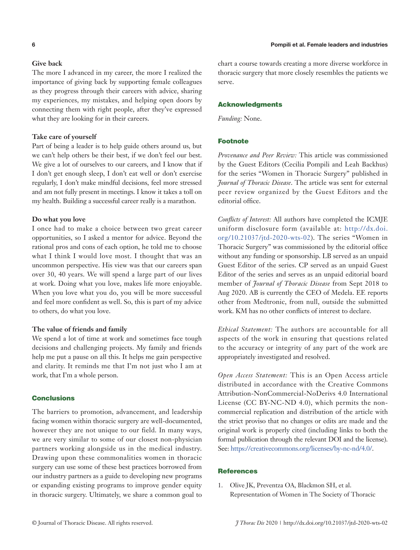# **Give back**

The more I advanced in my career, the more I realized the importance of giving back by supporting female colleagues as they progress through their careers with advice, sharing my experiences, my mistakes, and helping open doors by connecting them with right people, after they've expressed what they are looking for in their careers.

#### **Take care of yourself**

Part of being a leader is to help guide others around us, but we can't help others be their best, if we don't feel our best. We give a lot of ourselves to our careers, and I know that if I don't get enough sleep, I don't eat well or don't exercise regularly, I don't make mindful decisions, feel more stressed and am not fully present in meetings. I know it takes a toll on my health. Building a successful career really is a marathon.

#### **Do what you love**

I once had to make a choice between two great career opportunities, so I asked a mentor for advice. Beyond the rational pros and cons of each option, he told me to choose what I think I would love most. I thought that was an uncommon perspective. His view was that our careers span over 30, 40 years. We will spend a large part of our lives at work. Doing what you love, makes life more enjoyable. When you love what you do, you will be more successful and feel more confident as well. So, this is part of my advice to others, do what you love.

## **The value of friends and family**

We spend a lot of time at work and sometimes face tough decisions and challenging projects. My family and friends help me put a pause on all this. It helps me gain perspective and clarity. It reminds me that I'm not just who I am at work, that I'm a whole person.

#### **Conclusions**

The barriers to promotion, advancement, and leadership facing women within thoracic surgery are well-documented, however they are not unique to our field. In many ways, we are very similar to some of our closest non-physician partners working alongside us in the medical industry. Drawing upon these commonalities women in thoracic surgery can use some of these best practices borrowed from our industry partners as a guide to developing new programs or expanding existing programs to improve gender equity in thoracic surgery. Ultimately, we share a common goal to chart a course towards creating a more diverse workforce in thoracic surgery that more closely resembles the patients we serve.

#### Acknowledgments

*Funding:* None.

# Footnote

*Provenance and Peer Review:* This article was commissioned by the Guest Editors (Cecilia Pompili and Leah Backhus) for the series "Women in Thoracic Surgery" published in *Journal of Thoracic Disease*. The article was sent for external peer review organized by the Guest Editors and the editorial office.

*Conflicts of Interest:* All authors have completed the ICMJE uniform disclosure form (available at: http://dx.doi. org/10.21037/jtd-2020-wts-02). The series "Women in Thoracic Surgery" was commissioned by the editorial office without any funding or sponsorship. LB served as an unpaid Guest Editor of the series. CP served as an unpaid Guest Editor of the series and serves as an unpaid editorial board member of *Journal of Thoracic Disease* from Sept 2018 to Aug 2020. AB is currently the CEO of Medela. EE reports other from Medtronic, from null, outside the submitted work. KM has no other conflicts of interest to declare.

*Ethical Statement:* The authors are accountable for all aspects of the work in ensuring that questions related to the accuracy or integrity of any part of the work are appropriately investigated and resolved.

*Open Access Statement:* This is an Open Access article distributed in accordance with the Creative Commons Attribution-NonCommercial-NoDerivs 4.0 International License (CC BY-NC-ND 4.0), which permits the noncommercial replication and distribution of the article with the strict proviso that no changes or edits are made and the original work is properly cited (including links to both the formal publication through the relevant DOI and the license). See: https://creativecommons.org/licenses/by-nc-nd/4.0/.

## **References**

1. Olive JK, Preventza OA, Blackmon SH, et al. Representation of Women in The Society of Thoracic